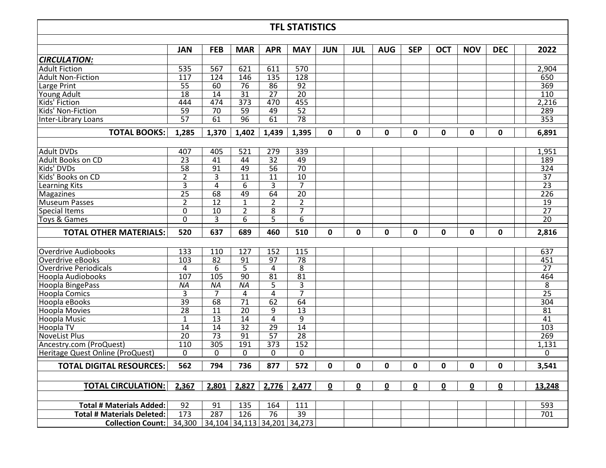## **TFL STATISTICS**

|                                   | JAN             | <b>FEB</b>                  | <b>MAR</b>       | <b>APR</b>      | <b>MAY</b>      | <b>JUN</b> | JUL          | <b>AUG</b> | <b>SEP</b> | OCT          | <b>NOV</b>   | <b>DEC</b>   | 2022             |
|-----------------------------------|-----------------|-----------------------------|------------------|-----------------|-----------------|------------|--------------|------------|------------|--------------|--------------|--------------|------------------|
| <b>CIRCULATION:</b>               |                 |                             |                  |                 |                 |            |              |            |            |              |              |              |                  |
| <b>Adult Fiction</b>              | 535             | 567                         | 621              | 611             | 570             |            |              |            |            |              |              |              | 2,904            |
| Adult Non-Fiction                 | 117             | 124                         | 146              | 135             | 128             |            |              |            |            |              |              |              | 650              |
| Large Print                       | $\overline{55}$ | 60                          | 76               | 86              | $\overline{92}$ |            |              |            |            |              |              |              | 369              |
| Young Adult                       | $\overline{18}$ | 14                          | 31               | 27              | $\overline{20}$ |            |              |            |            |              |              |              | 110              |
| Kids' Fiction                     | 444             | 474                         | $\overline{373}$ | 470             | 455             |            |              |            |            |              |              |              | 2,216            |
| Kids' Non-Fiction                 | $\overline{59}$ | $\overline{70}$             | 59               | 49              | $\overline{52}$ |            |              |            |            |              |              |              | 289              |
| Inter-Library Loans               | $\overline{57}$ | 61                          | 96               | 61              | $\overline{78}$ |            |              |            |            |              |              |              | 353              |
| <b>TOTAL BOOKS:</b>               | 1,285           | 1,370                       | 1,402            | 1,439           | 1,395           | 0          | 0            | 0          | 0          | 0            | 0            | 0            | 6,891            |
|                                   |                 |                             |                  |                 |                 |            |              |            |            |              |              |              |                  |
| <b>Adult DVDs</b>                 | 407             | 405                         | 521              | 279             | 339             |            |              |            |            |              |              |              | 1,951            |
| Adult Books on CD                 | 23              | 41                          | 44               | $\overline{32}$ | 49              |            |              |            |            |              |              |              | 189              |
| Kids' DVDs                        | $\overline{58}$ | $\overline{91}$             | 49               | $\overline{56}$ | $\overline{70}$ |            |              |            |            |              |              |              | 324              |
| Kids' Books on CD                 | $\overline{2}$  | $\overline{3}$              | 11               | $\overline{11}$ | 10              |            |              |            |            |              |              |              | $\overline{37}$  |
| Learning Kits                     | 3               | 4                           | 6                | 3               | $\overline{7}$  |            |              |            |            |              |              |              | $\overline{23}$  |
| Magazines                         | $\overline{25}$ | 68                          | 49               | 64              | $\overline{20}$ |            |              |            |            |              |              |              | $\overline{226}$ |
| Museum Passes                     | $\overline{2}$  | 12                          | $\mathbf{1}$     | $\overline{2}$  | $\overline{2}$  |            |              |            |            |              |              |              | $\overline{19}$  |
| <b>Special Items</b>              | $\mathbf{0}$    | 10                          | $\overline{2}$   | 8               | 7               |            |              |            |            |              |              |              | $\overline{27}$  |
| <b>Toys &amp; Games</b>           | 0               | 3                           | 6                | $\overline{5}$  | $\overline{6}$  |            |              |            |            |              |              |              | $\overline{20}$  |
| <b>TOTAL OTHER MATERIALS:</b>     | 520             | 637                         | 689              | 460             | 510             | 0          | 0            | 0          | 0          | 0            | 0            | 0            | 2,816            |
|                                   |                 |                             |                  |                 |                 |            |              |            |            |              |              |              |                  |
| Overdrive Audiobooks              | 133             | 110                         | 127              | 152             | 115             |            |              |            |            |              |              |              | 637              |
| Overdrive eBooks                  | 103             | $\overline{82}$             | $\overline{91}$  | $\overline{97}$ | $\overline{78}$ |            |              |            |            |              |              |              | 451              |
| <b>Overdrive Periodicals</b>      | 4               | 6                           | 5                | 4               | 8               |            |              |            |            |              |              |              | 27               |
| Hoopla Audiobooks                 | 107             | 105                         | $\overline{90}$  | 81              | $\overline{81}$ |            |              |            |            |              |              |              | 464              |
| Hoopla BingePass                  | <b>NA</b>       | ΝA                          | ΝA               | 5               | 3               |            |              |            |            |              |              |              | 8                |
| <b>Hoopla Comics</b>              | 3               | 7                           | 4                | $\overline{4}$  | $\overline{7}$  |            |              |            |            |              |              |              | $\overline{25}$  |
| Hoopla eBooks                     | 39              | 68                          | $\overline{71}$  | 62              | 64              |            |              |            |            |              |              |              | 304              |
| <b>Hoopla Movies</b>              | $\overline{28}$ | 11                          | $\overline{20}$  | 9               | $\overline{13}$ |            |              |            |            |              |              |              | 81               |
| Hoopla Music                      | $1\,$           | $\overline{13}$             | 14               | 4               | $\overline{9}$  |            |              |            |            |              |              |              | $\overline{41}$  |
| <b>Hoopla TV</b>                  | 14              | 14                          | $\overline{32}$  | $\overline{29}$ | $\overline{14}$ |            |              |            |            |              |              |              | 103              |
| <b>NoveList Plus</b>              | $\overline{20}$ | $\overline{73}$             | $\overline{91}$  | $\overline{57}$ | $\overline{28}$ |            |              |            |            |              |              |              | 269              |
| Ancestry.com (ProQuest)           | 110             | 305                         | 191              | 373             | 152             |            |              |            |            |              |              |              | 1,131            |
| Heritage Quest Online (ProQuest)  | $\Omega$        | $\Omega$                    | $\Omega$         | $\Omega$        | 0               |            |              |            |            |              |              |              | 0                |
| <b>TOTAL DIGITAL RESOURCES:</b>   | 562             | 794                         | 736              | 877             | 572             | 0          | $\mathbf{0}$ | 0          | 0          | $\mathbf{0}$ | $\mathbf{0}$ | $\mathbf{0}$ | 3,541            |
|                                   |                 |                             |                  |                 |                 |            |              |            |            |              |              |              |                  |
| <b>TOTAL CIRCULATION:</b>         | 2,367           | 2,801                       | 2,827            | 2,776           | 2,477           | 0          | 0            | 0          | 0          | 0            | 0            | 0            | 13,248           |
|                                   |                 |                             |                  |                 |                 |            |              |            |            |              |              |              |                  |
| <b>Total # Materials Added:</b>   | 92              | 91                          | 135              | 164             | 111             |            |              |            |            |              |              |              | 593              |
| <b>Total # Materials Deleted:</b> | 173             | 287                         | 126              | 76              | 39              |            |              |            |            |              |              |              | 701              |
| <b>Collection Count:</b>          | 34,300          | 34,104 34,113 34,201 34,273 |                  |                 |                 |            |              |            |            |              |              |              |                  |